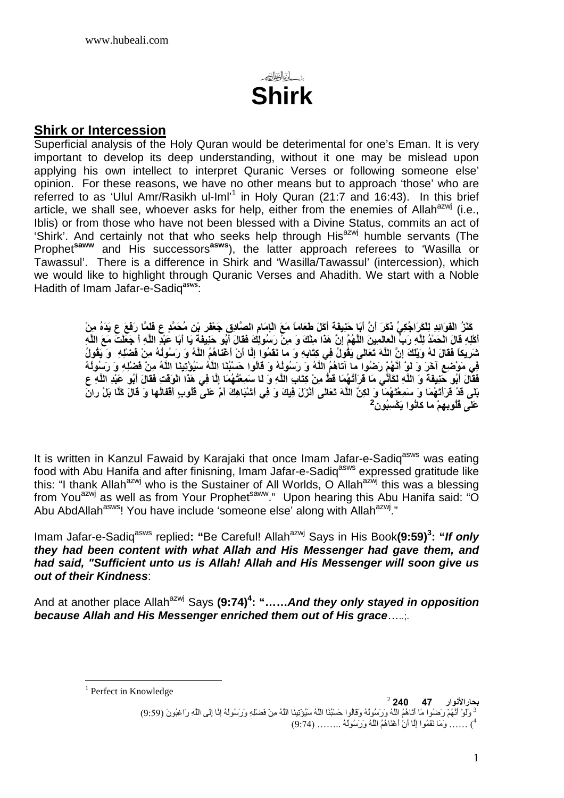

### **Shirk or Intercession**

Superficial analysis of the Holy Quran would be deterimental for one's Eman. It is very important to develop its deep understanding, without it one may be mislead upon applying his own intellect to interpret Quranic Verses or following someone else' opinion. For these reasons, we have no other means but to approach 'those' who are referred to as 'Ulul Amr/Rasikh ul-Iml'<sup>1</sup> in Holy Quran (21:7 and 16:43). In this brief article, we shall see, whoever asks for help, either from the enemies of Allah<sup>azwj</sup> (i.e., Iblis) or from those who have not been blessed with a Divine Status, commits an act of 'Shirk'. And certainly not that who seeks help through His<sup>azwj</sup> humble servants (The Prophet**saww** and His successors**asws**), the latter approach referees to 'Wasilla or Tawassul'. There is a difference in Shirk and 'Wasilla/Tawassul' (intercession), which we would like to highlight through Quranic Verses and Ahadith. We start with a Noble Hadith of Imam Jafar-e-Sadiq**asws**:

> ِ كَٰنٌرُ الْفَوَائِدِ لِلْكَرَاجُكِيِّ ذَكَرَ أَنَّ أَبَا حَنِيفَةَ أَكَلَ طَعَاماً مَعَ الْإِمَامِ الصّادِقِ جَعْفَر بْنِ مُحَمَّدٍ ع فَئَمَّا رَفَعَ ع يَدَهُ مِنْ أَكْلِهِ قَالَ الْحَمْدُ لِلَّهِ رَبِّ الْعالَمِينَ اللَّهُمِّ إِنَّ هَذَا مِثْكَ وَ مِنْ رَسُولِكَ فَقَالَ أَبُو حَنِيفَةً يَا أَبَا عَبْدِ اللَّهِ أَ جَعَلْتَ مَعَ اللَّهِ شَريكاً فَقَالَ لَهُ وَيُلْكَ إِنَّ اللَّهَ تَعَالَى يَقُولُ فِي كِتَابِهِ وَ ما نَقَمُوا إِلَّا أَنْ أَغْنَاهُمُ اللَّهُ وَ رَسُولُهُ مِنْ فَضْلِهِ ۚ وَ يَقُولُ ِفِي مَوْضِعِ آخَرَ وَ لَوْ أَنَّهُمْ رَضُوا ۖما آتاهُمُ اللَّهُ وَ رَسُولُهُ وَ قَالُوا حَسْبُنَا اللَّهُ سَيُوْتِينَا اللَّهُ مِنْ فَضْلِهِ وَ رَسُولُهُ عِي مَنْ مَنْ مِنْ بِي مِنْ مَسِيمٍ مِنْ مَسَمٍّ مِنْ مَسَمٍّ مِنْ عِتَابِ اللَّهِ وَ َلَـا سَمِعْتُهُمَا إِلَّا فِي هَذَا ۖ الْوَقْتِ فَقَالَ أَبُو َعَبِّدِ اللَّهِ عَ بَلِّي قَدْ قَرَأْتُهُمَا وَ سَمِعْتَهُمَا وَ لَكِنَّ اللَّهَ تَعَالَى أَنْزَلَ فِيكَ وَ فِي أَشْبَاهِكَ أَمْ عَلَى قُلُوبِ أَقْفَالُها وَ قَالَ كَلّا بَلْ رانَ **عَلَى ڤُلُوبِـهِمْ ما كانُوا يَكْسِبُونُ<sup>2</sup>**

It is written in Kanzul Fawaid by Karajaki that once Imam Jafar-e-Sadiq<sup>asws</sup> was eating food with Abu Hanifa and after finisning, Imam Jafar-e-Sadiq<sup>asws</sup> expressed gratitude like this: "I thank Allah<sup>azwj</sup> who is the Sustainer of All Worlds, O Allah<sup>azwj</sup> this was a blessing from You<sup>azwj</sup> as well as from Your Prophet<sup>saww</sup>." Upon hearing this Abu Hanifa said: "O Abu AbdAllah<sup>asws</sup>! You have include 'someone else' along with Allah<sup>azwj</sup>."

Imam Jafar-e-Sadiq<sup>asws</sup> replied: "Be Careful! Allah<sup>azwj</sup> Says in His Book(9:59)<sup>3</sup>: "If only **they had been content with what Allah and His Messenger had gave them, and had said, "Sufficient unto us is Allah! Allah and His Messenger will soon give us out of their Kindness**:

And at another place Allah<sup>azwj</sup> Says (9:74)<sup>4</sup>: "......And they only stayed in opposition **because Allah and His Messenger enriched them out of His grace**…..;.

 $\overline{a}$ <sup>1</sup> Perfect in Knowledge

بحار الأنوار 47 240 <sup>2</sup><br><sup>3</sup> وَلَوْ أَنَّهُمْ رَضُوا مَا أَنَاهُمُ اللَّهُ وَرَسُولُهُ وَقَالُوا حَسْبُنَا اللَّهُ سَيُوْتِيَنَا اللَّهُ مِنْ فَضْلِهِ وَرَسُولُهُ إِنَّا إِلَى اللَّهِ رَاغِبُونَ (9:59) 4) ...... وَمَا نَقَمُوا إِلَّا أَنْ أَعْنَاهُمُ اللَّهُ وَرَسُولُهُ ........ (9:74)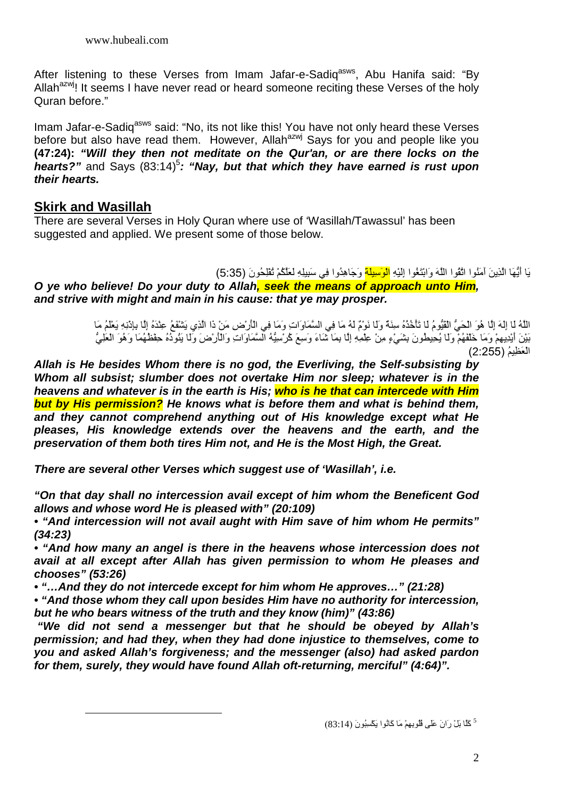After listening to these Verses from Imam Jafar-e-Sadiq<sup>asws</sup>, Abu Hanifa said: "By Allah<sup>azwj</sup>! It seems I have never read or heard someone reciting these Verses of the holy Quran before."

Imam Jafar-e-Sadig<sup>asws</sup> said: "No, its not like this! You have not only heard these Verses before but also have read them. However, Allah<sup>azwj</sup> Says for you and people like you **(47:24): "Will they then not meditate on the Qur'an, or are there locks on the**  hearts?" and Says (83:14)<sup>5</sup>: "Nay, but that which they have earned is rust upon **their hearts.**

# **Skirk and Wasillah**

 $\overline{a}$ 

There are several Verses in Holy Quran where use of 'Wasillah/Tawassul' has been suggested and applied. We present some of those below.

### يَا أَيُّهَا الَّذِينَ أَمَنُوا اتَّقُوا اللَّهَ وَابْتَغُوا إِلَيْهِ <mark>الْوَسِيلَة</mark> وَجَاهِدُوا فِي سَبِيلِهِ لَعَلَّكُمْ تُقْلِحُونَ (5:35)

**O ye who believe! Do your duty to Allah, seek the means of approach unto Him, and strive with might and main in his cause: that ye may prosper.** 

> اللَّهُ لَا إِلَهَ إِلَّا هُوَ الْحَيَّ الْقَيُّومُ لَا تَأْخُذُهُ سِنَةٌ وَلَا نَوْمٌ لَهُ مَا فِي السَّمَاوَاتِ وَمَا فِي الْأَرْضِ مَنْ ذَا الَّذِي يَشْفَعُ عِنْدَهُ إِلَّا بِإِدْنِهِ يَعْلَمُ مَا بَيْنَ أَيْدِيهِمْ وَمَا خَلَقَهُمْ وَلَا يُحِيطُونَ بِشَيْءٍ مِنْ عِلْمِهِ إِلَّا بِمَا شَاءَ وَسِعَ كُرْسِيَّهُ السَّمَاوَاتِ وَالْأَرْضَ وَلَا يَنُودُهُ حِفْظُهُمَا وَهُوَ الْعَلِيُّ الْعَظِيمُ (2555)

**Allah is He besides Whom there is no god, the Everliving, the Self-subsisting by Whom all subsist; slumber does not overtake Him nor sleep; whatever is in the heavens and whatever is in the earth is His; who is he that can intercede with Him but by His permission? He knows what is before them and what is behind them, and they cannot comprehend anything out of His knowledge except what He pleases, His knowledge extends over the heavens and the earth, and the preservation of them both tires Him not, and He is the Most High, the Great.** 

**There are several other Verses which suggest use of 'Wasillah', i.e.** 

**"On that day shall no intercession avail except of him whom the Beneficent God allows and whose word He is pleased with" (20:109)** 

**• "And intercession will not avail aught with Him save of him whom He permits" (34:23)** 

**• "And how many an angel is there in the heavens whose intercession does not avail at all except after Allah has given permission to whom He pleases and chooses" (53:26)** 

**• "…And they do not intercede except for him whom He approves…" (21:28)** 

**• "And those whom they call upon besides Him have no authority for intercession, but he who bears witness of the truth and they know (him)" (43:86)** 

 **"We did not send a messenger but that he should be obeyed by Allah's permission; and had they, when they had done injustice to themselves, come to you and asked Allah's forgiveness; and the messenger (also) had asked pardon for them, surely, they would have found Allah oft-returning, merciful" (4:64)".**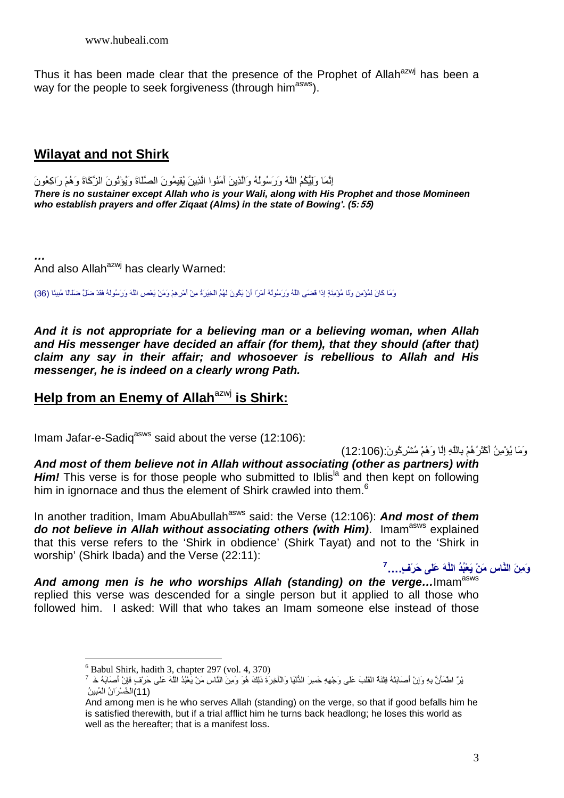Thus it has been made clear that the presence of the Prophet of Allah<sup>azwj</sup> has been a way for the people to seek forgiveness (through him<sup>asws</sup>).

## **Wilayat and not Shirk**

إِنَّمَا وَلِيُّكُمُ الْمُهُ وَرَسُولُهُ وَالْذِينَ آمَنُوا الَّذِينَ يُقِيمُونَ الصَّلَاةَ وَيُؤْتُونَ الزَّكَاةَ وَهُمْ رَاكِعُونَ **There is no sustainer except Allah who is your Wali, along with His Prophet and those Momineen who establish prayers and offer Ziqaat (Alms) in the state of Bowing'. (5:55)** 

**…** And also Allah<sup>azwj</sup> has clearly Warned:

وَمَا كَانَ لِمُؤْمِنٍ وَلَا مُؤْمِنَةٍ إِذَا قَضَى اللَّهُ وَرَسُولُهُ أَمْرًا أَنْ يَكُونَ لَهُمُ الْخِيَرَةُ مِنْ أَمْرِهِمْ وَمَنْ يَعْصِ اللَّهُ وَرَسُولُهُ وَالِمَجْ الْأَمْرَا وَالَ

**And it is not appropriate for a believing man or a believing woman, when Allah and His messenger have decided an affair (for them), that they should (after that) claim any say in their affair; and whosoever is rebellious to Allah and His messenger, he is indeed on a clearly wrong Path.** 

### **Help from an Enemy of Allah**azwj **is Shirk:**

Imam Jafar-e-Sadiq<sup>asws</sup> said about the verse  $(12:106)$ :

#### وَمَا يُوْمِنُ أَكْثَرُهُمْ بِاللَّهِ إِلَّا وَهُمْ مُشْرِكُونَ:(106:12)

**And most of them believe not in Allah without associating (other as partners) with Him!** This verse is for those people who submitted to Iblis<sup>la</sup> and then kept on following him in ignornace and thus the element of Shirk crawled into them.<sup>6</sup>

In another tradition, Imam AbuAbullah<sup>asws</sup> said: the Verse (12:106): **And most of them do not believe in Allah without associating others (with Him).** Imam<sup>asws</sup> explained that this verse refers to the 'Shirk in obdience' (Shirk Tayat) and not to the 'Shirk in worship' (Shirk Ibada) and the Verse (22:11):

وَمِنَ النَّاسِ مَنْ يَعْبُدُ اللَّهَ عَلَى حَرْفٍ….<sup>7</sup>

And among men is he who worships Allah (standing) on the verge...Imam<sup>asws</sup> replied this verse was descended for a single person but it applied to all those who followed him. I asked: Will that who takes an Imam someone else instead of those

 $\overline{a}$ 

<sup>6</sup> Babul Shirk, hadith 3, chapter 297 (vol. 4, 370)

يْرٌ اطْمَأْنَّ بِهِ وَإِنْ أَصَابَتْهُ فِثْنَة انْقَلْبَ عَلَى وَجْهِهِ خَسِرَ الثُّنْيَا وَالْأَخِرَةَ ذَلِكَ هُوَ وَمِنَ النَّاسِ مَنْ يَعْبُدُ اللَّهَ عَلَى حَرْفٍ فَإِنْ أَصَابَهُ خَ (11)الْخُسْرَ انُ الْمُبِينُ

And among men is he who serves Allah (standing) on the verge, so that if good befalls him he is satisfied therewith, but if a trial afflict him he turns back headlong; he loses this world as well as the hereafter; that is a manifest loss.